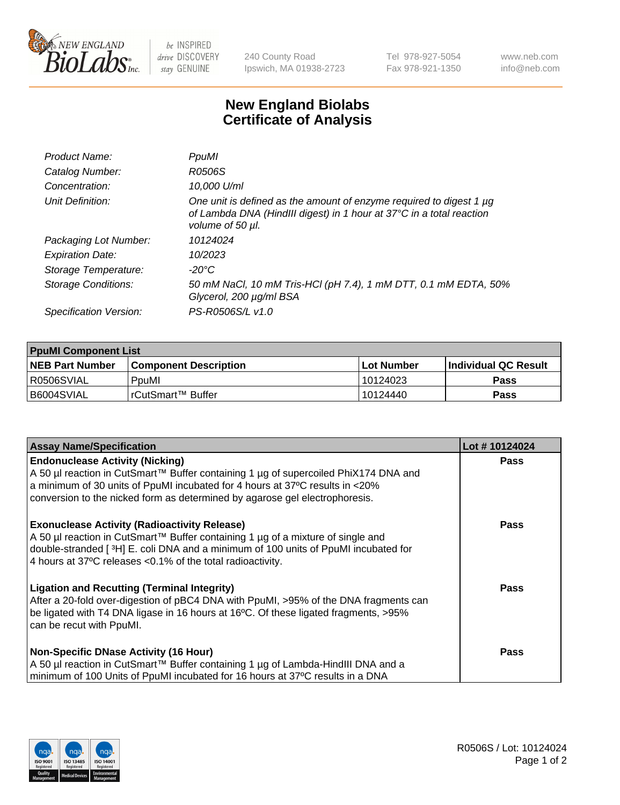

 $be$  INSPIRED drive DISCOVERY stay GENUINE

240 County Road Ipswich, MA 01938-2723 Tel 978-927-5054 Fax 978-921-1350 www.neb.com info@neb.com

## **New England Biolabs Certificate of Analysis**

| Product Name:           | PpuMI                                                                                                                                                           |
|-------------------------|-----------------------------------------------------------------------------------------------------------------------------------------------------------------|
| Catalog Number:         | R0506S                                                                                                                                                          |
| Concentration:          | 10,000 U/ml                                                                                                                                                     |
| Unit Definition:        | One unit is defined as the amount of enzyme required to digest 1 µg<br>of Lambda DNA (HindIII digest) in 1 hour at 37°C in a total reaction<br>volume of 50 µl. |
| Packaging Lot Number:   | 10124024                                                                                                                                                        |
| <b>Expiration Date:</b> | 10/2023                                                                                                                                                         |
| Storage Temperature:    | -20°C                                                                                                                                                           |
| Storage Conditions:     | 50 mM NaCl, 10 mM Tris-HCl (pH 7.4), 1 mM DTT, 0.1 mM EDTA, 50%<br>Glycerol, 200 µg/ml BSA                                                                      |
| Specification Version:  | PS-R0506S/L v1.0                                                                                                                                                |

| <b>PpuMI Component List</b> |                              |              |                             |  |  |
|-----------------------------|------------------------------|--------------|-----------------------------|--|--|
| <b>NEB Part Number</b>      | <b>Component Description</b> | l Lot Number | <b>Individual QC Result</b> |  |  |
| I R0506SVIAL                | PouMl                        | 10124023     | <b>Pass</b>                 |  |  |
| I B6004SVIAL                | TrCutSmart™ Buffer           | 10124440     | <b>Pass</b>                 |  |  |

| <b>Assay Name/Specification</b>                                                                                                                                                                                                                                                               | Lot #10124024 |
|-----------------------------------------------------------------------------------------------------------------------------------------------------------------------------------------------------------------------------------------------------------------------------------------------|---------------|
| <b>Endonuclease Activity (Nicking)</b><br>  A 50 µl reaction in CutSmart™ Buffer containing 1 µg of supercoiled PhiX174 DNA and                                                                                                                                                               | <b>Pass</b>   |
| a minimum of 30 units of PpuMI incubated for 4 hours at 37°C results in $\langle 20\%$<br>conversion to the nicked form as determined by agarose gel electrophoresis.                                                                                                                         |               |
| <b>Exonuclease Activity (Radioactivity Release)</b><br>  A 50 µl reaction in CutSmart™ Buffer containing 1 µg of a mixture of single and<br>double-stranded [3H] E. coli DNA and a minimum of 100 units of PpuMI incubated for<br>4 hours at 37°C releases < 0.1% of the total radioactivity. | <b>Pass</b>   |
| <b>Ligation and Recutting (Terminal Integrity)</b><br>After a 20-fold over-digestion of pBC4 DNA with PpuMI, >95% of the DNA fragments can<br>be ligated with T4 DNA ligase in 16 hours at 16°C. Of these ligated fragments, >95%<br>can be recut with PpuMI.                                 | Pass          |
| <b>Non-Specific DNase Activity (16 Hour)</b>                                                                                                                                                                                                                                                  | <b>Pass</b>   |
| A 50 µl reaction in CutSmart™ Buffer containing 1 µg of Lambda-HindIII DNA and a<br>minimum of 100 Units of PpuMI incubated for 16 hours at 37°C results in a DNA                                                                                                                             |               |